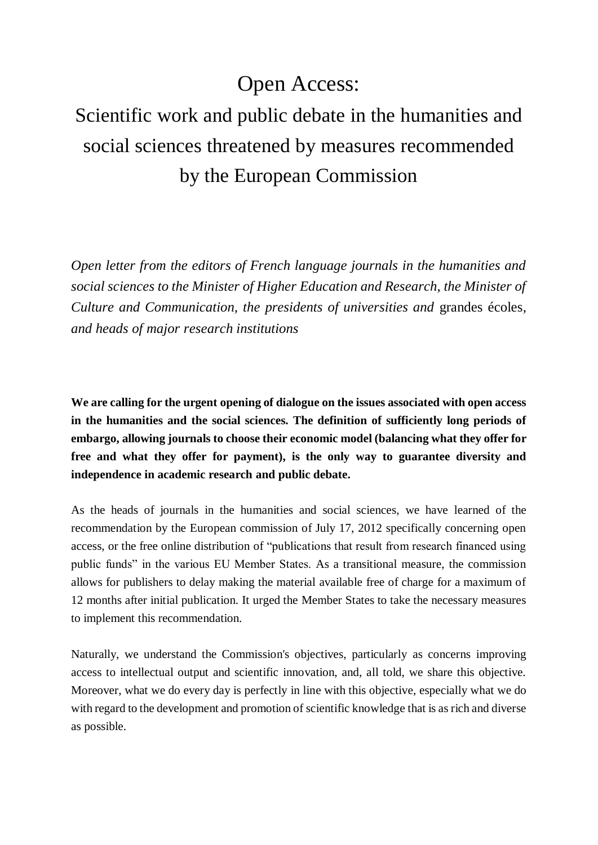## Open Access:

## Scientific work and public debate in the humanities and social sciences threatened by measures recommended by the European Commission

*Open letter from the editors of French language journals in the humanities and social sciences to the Minister of Higher Education and Research, the Minister of Culture and Communication, the presidents of universities and* grandes écoles*, and heads of major research institutions*

**We are calling for the urgent opening of dialogue on the issues associated with open access in the humanities and the social sciences. The definition of sufficiently long periods of embargo, allowing journals to choose their economic model (balancing what they offer for free and what they offer for payment), is the only way to guarantee diversity and independence in academic research and public debate.**

As the heads of journals in the humanities and social sciences, we have learned of the recommendation by the European commission of July 17, 2012 specifically concerning open access, or the free online distribution of "publications that result from research financed using public funds" in the various EU Member States. As a transitional measure, the commission allows for publishers to delay making the material available free of charge for a maximum of 12 months after initial publication. It urged the Member States to take the necessary measures to implement this recommendation.

Naturally, we understand the Commission's objectives, particularly as concerns improving access to intellectual output and scientific innovation, and, all told, we share this objective. Moreover, what we do every day is perfectly in line with this objective, especially what we do with regard to the development and promotion of scientific knowledge that is as rich and diverse as possible.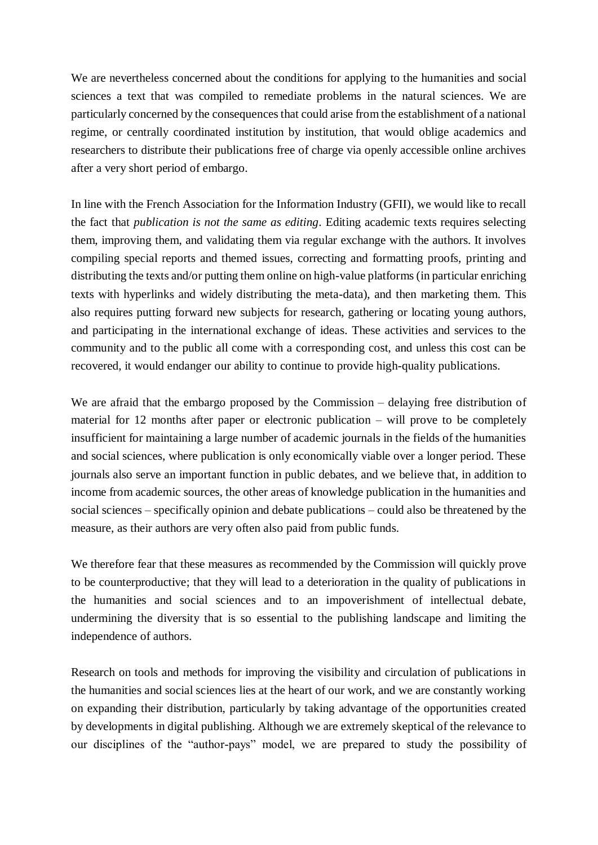We are nevertheless concerned about the conditions for applying to the humanities and social sciences a text that was compiled to remediate problems in the natural sciences. We are particularly concerned by the consequences that could arise from the establishment of a national regime, or centrally coordinated institution by institution, that would oblige academics and researchers to distribute their publications free of charge via openly accessible online archives after a very short period of embargo.

In line with the French Association for the Information Industry (GFII), we would like to recall the fact that *publication is not the same as editing*. Editing academic texts requires selecting them, improving them, and validating them via regular exchange with the authors. It involves compiling special reports and themed issues, correcting and formatting proofs, printing and distributing the texts and/or putting them online on high-value platforms (in particular enriching texts with hyperlinks and widely distributing the meta-data), and then marketing them. This also requires putting forward new subjects for research, gathering or locating young authors, and participating in the international exchange of ideas. These activities and services to the community and to the public all come with a corresponding cost, and unless this cost can be recovered, it would endanger our ability to continue to provide high-quality publications.

We are afraid that the embargo proposed by the Commission – delaying free distribution of material for 12 months after paper or electronic publication – will prove to be completely insufficient for maintaining a large number of academic journals in the fields of the humanities and social sciences, where publication is only economically viable over a longer period. These journals also serve an important function in public debates, and we believe that, in addition to income from academic sources, the other areas of knowledge publication in the humanities and social sciences – specifically opinion and debate publications – could also be threatened by the measure, as their authors are very often also paid from public funds.

We therefore fear that these measures as recommended by the Commission will quickly prove to be counterproductive; that they will lead to a deterioration in the quality of publications in the humanities and social sciences and to an impoverishment of intellectual debate, undermining the diversity that is so essential to the publishing landscape and limiting the independence of authors.

Research on tools and methods for improving the visibility and circulation of publications in the humanities and social sciences lies at the heart of our work, and we are constantly working on expanding their distribution, particularly by taking advantage of the opportunities created by developments in digital publishing. Although we are extremely skeptical of the relevance to our disciplines of the "author-pays" model, we are prepared to study the possibility of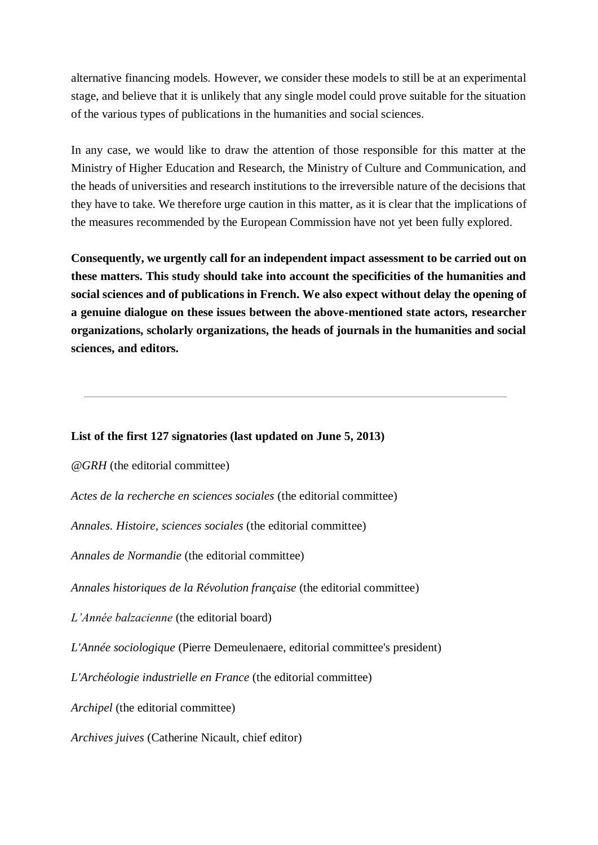alternative financing models. However, we consider these models to still be at an experimental stage, and believe that it is unlikely that any single model could prove suitable for the situation of the various types of publications in the humanities and social sciences.

In any case, we would like to draw the attention of those responsible for this matter at the Ministry of Higher Education and Research, the Ministry of Culture and Communication, and the heads of universities and research institutions to the irreversible nature of the decisions that they have to take. We therefore urge caution in this matter, as it is clear that the implications of the measures recommended by the European Commission have not yet been fully explored.

**Consequently, we urgently call for an independent impact assessment to be carried out on these matters. This study should take into account the specificities of the humanities and social sciences and of publications in French. We also expect without delay the opening of a genuine dialogue on these issues between the above-mentioned state actors, researcher organizations, scholarly organizations, the heads of journals in the humanities and social sciences, and editors.**

## **List of the first 127 signatories (last updated on June 5, 2013)**

*@GRH* (the editorial committee)

*Actes de la recherche en sciences sociales* (the editorial committee)

*Annales. Histoire, sciences sociales* (the editorial committee)

*Annales de Normandie* (the editorial committee)

*Annales historiques de la Révolution française* (the editorial committee)

*L'Année balzacienne* (the editorial board)

*L'Année sociologique* (Pierre Demeulenaere, editorial committee's president)

*L'Archéologie industrielle en France* (the editorial committee)

*Archipel* (the editorial committee)

*Archives juives* (Catherine Nicault, chief editor)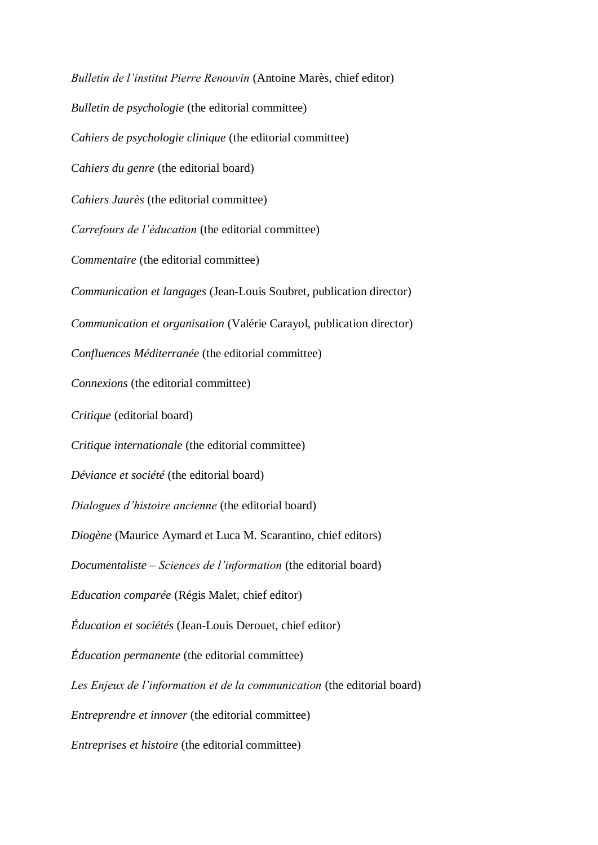*Bulletin de l'institut Pierre Renouvin* (Antoine Marès, chief editor) *Bulletin de psychologie* (the editorial committee) *Cahiers de psychologie clinique* (the editorial committee) *Cahiers du genre* (the editorial board) *Cahiers Jaurès* (the editorial committee) *Carrefours de l'éducation* (the editorial committee) *Commentaire* (the editorial committee) *Communication et langages* (Jean-Louis Soubret, publication director) *Communication et organisation* (Valérie Carayol, publication director) *Confluences Méditerranée* (the editorial committee) *Connexions* (the editorial committee) *Critique* (editorial board) *Critique internationale* (the editorial committee) *Déviance et société* (the editorial board) *Dialogues d'histoire ancienne* (the editorial board) *Diogène* (Maurice Aymard et Luca M. Scarantino, chief editors) *Documentaliste – Sciences de l'information* (the editorial board) *Education comparée* (Régis Malet, chief editor) *Éducation et sociétés* (Jean-Louis Derouet, chief editor) *Éducation permanente* (the editorial committee) *Les Enjeux de l'information et de la communication* (the editorial board) *Entreprendre et innover* (the editorial committee) *Entreprises et histoire* (the editorial committee)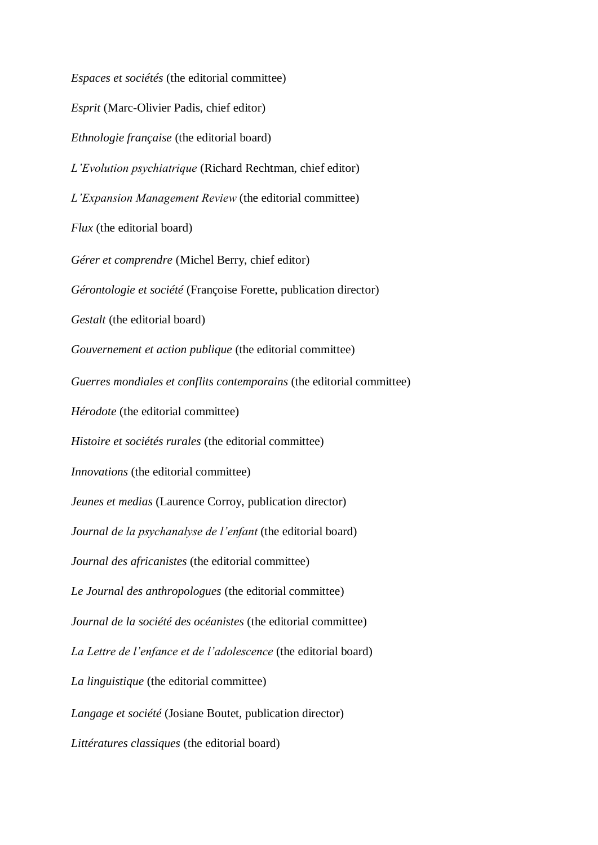*Espaces et sociétés* (the editorial committee) *Esprit* (Marc-Olivier Padis, chief editor) *Ethnologie française* (the editorial board) *L'Evolution psychiatrique* (Richard Rechtman, chief editor) *L'Expansion Management Review* (the editorial committee) *Flux* (the editorial board) *Gérer et comprendre* (Michel Berry, chief editor) *Gérontologie et société* (Françoise Forette, publication director) *Gestalt* (the editorial board) *Gouvernement et action publique* (the editorial committee) *Guerres mondiales et conflits contemporains* (the editorial committee) *Hérodote* (the editorial committee) *Histoire et sociétés rurales* (the editorial committee) *Innovations* (the editorial committee) *Jeunes et medias* (Laurence Corroy, publication director) *Journal de la psychanalyse de l'enfant* (the editorial board) *Journal des africanistes* (the editorial committee) *Le Journal des anthropologues* (the editorial committee) *Journal de la société des océanistes* (the editorial committee) *La Lettre de l'enfance et de l'adolescence* (the editorial board) *La linguistique* (the editorial committee) *Langage et société* (Josiane Boutet, publication director) *Littératures classiques* (the editorial board)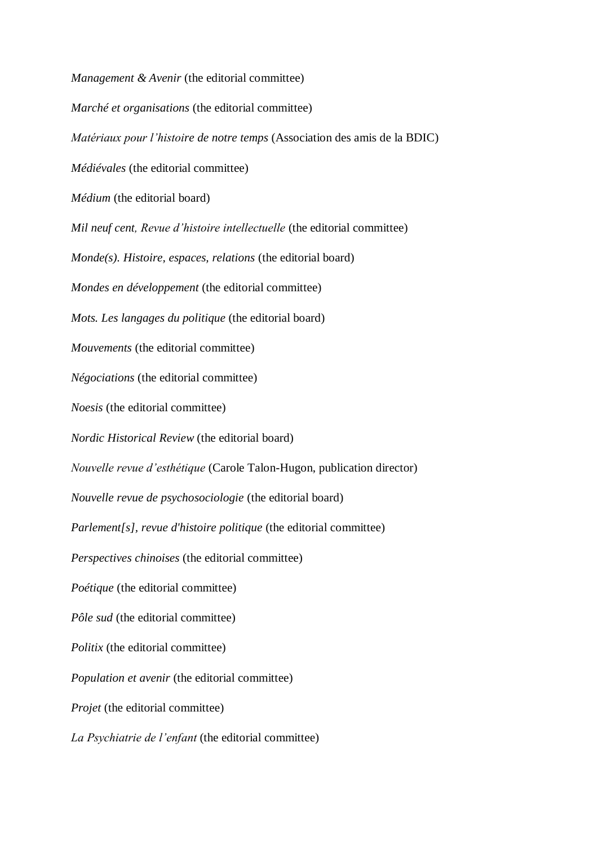*Management & Avenir* (the editorial committee) *Marché et organisations* (the editorial committee) *Matériaux pour l'histoire de notre temps* (Association des amis de la BDIC) *Médiévales* (the editorial committee) *Médium* (the editorial board) *Mil neuf cent, Revue d'histoire intellectuelle* (the editorial committee) *Monde(s). Histoire, espaces, relations* (the editorial board) *Mondes en développement* (the editorial committee) *Mots. Les langages du politique* (the editorial board) *Mouvements* (the editorial committee) *Négociations* (the editorial committee) *Noesis* (the editorial committee) *Nordic Historical Review* (the editorial board) *Nouvelle revue d'esthétique* (Carole Talon-Hugon, publication director) *Nouvelle revue de psychosociologie* (the editorial board) *Parlement[s], revue d'histoire politique* (the editorial committee) *Perspectives chinoises* (the editorial committee) *Poétique* (the editorial committee) *Pôle sud* (the editorial committee) *Politix* (the editorial committee) *Population et avenir* (the editorial committee) *Projet* (the editorial committee) *La Psychiatrie de l'enfant* (the editorial committee)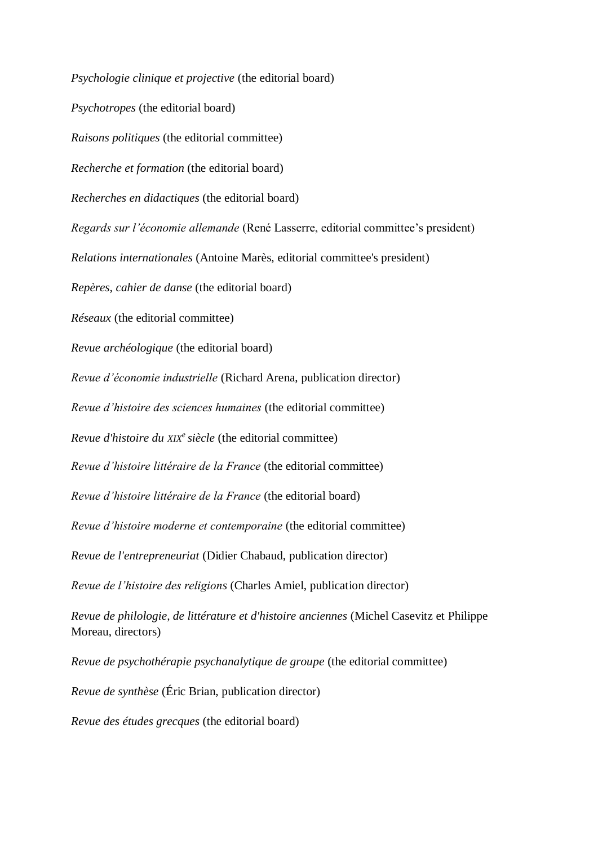*Psychologie clinique et projective* (the editorial board) *Psychotropes* (the editorial board) *Raisons politiques* (the editorial committee) *Recherche et formation* (the editorial board) *Recherches en didactiques* (the editorial board) *Regards sur l'économie allemande* (René Lasserre, editorial committee's president) *Relations internationales* (Antoine Marès, editorial committee's president) *Repères, cahier de danse* (the editorial board) *Réseaux* (the editorial committee) *Revue archéologique* (the editorial board) *Revue d'économie industrielle* (Richard Arena, publication director) *Revue d'histoire des sciences humaines* (the editorial committee) *Revue d'histoire du XIX<sup>e</sup>siècle* (the editorial committee) *Revue d'histoire littéraire de la France* (the editorial committee) *Revue d'histoire littéraire de la France* (the editorial board) *Revue d'histoire moderne et contemporaine* (the editorial committee) *Revue de l'entrepreneuriat* (Didier Chabaud, publication director) *Revue de l'histoire des religions* (Charles Amiel, publication director) *Revue de philologie, de littérature et d'histoire anciennes* (Michel Casevitz et Philippe Moreau, directors) *Revue de psychothérapie psychanalytique de groupe* (the editorial committee) *Revue de synthèse* (Éric Brian, publication director)

*Revue des études grecques* (the editorial board)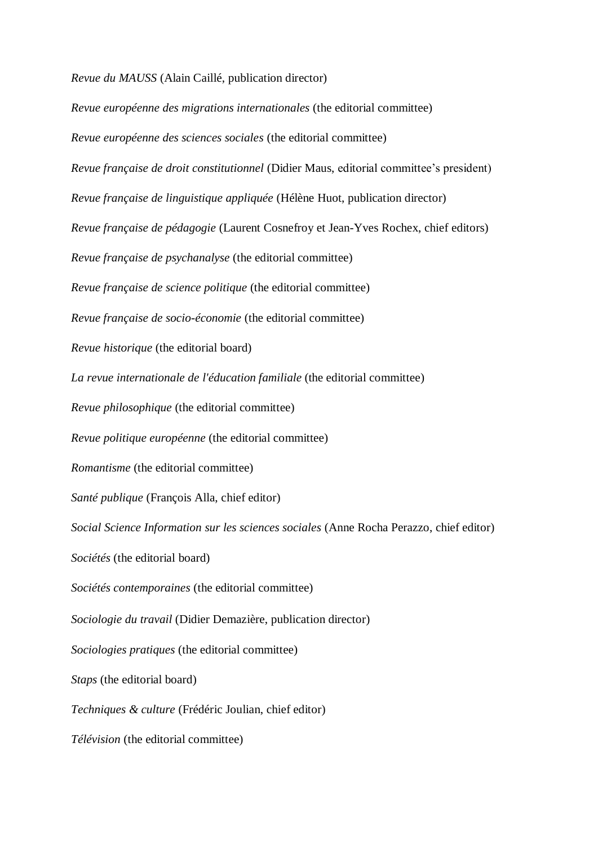*Revue du MAUSS* (Alain Caillé, publication director)

*Revue européenne des migrations internationales* (the editorial committee) *Revue européenne des sciences sociales* (the editorial committee) *Revue française de droit constitutionnel* (Didier Maus, editorial committee's president) *Revue française de linguistique appliquée* (Hélène Huot, publication director) *Revue française de pédagogie* (Laurent Cosnefroy et Jean-Yves Rochex, chief editors) *Revue française de psychanalyse* (the editorial committee) *Revue française de science politique* (the editorial committee) *Revue française de socio-économie* (the editorial committee) *Revue historique* (the editorial board) *La revue internationale de l'éducation familiale* (the editorial committee) *Revue philosophique* (the editorial committee) *Revue politique européenne* (the editorial committee) *Romantisme* (the editorial committee) *Santé publique* (François Alla, chief editor) *Social Science Information sur les sciences sociales* (Anne Rocha Perazzo, chief editor) *Sociétés* (the editorial board) *Sociétés contemporaines* (the editorial committee) *Sociologie du travail* (Didier Demazière, publication director) *Sociologies pratiques* (the editorial committee) *Staps* (the editorial board) *Techniques & culture* (Frédéric Joulian, chief editor) *Télévision* (the editorial committee)